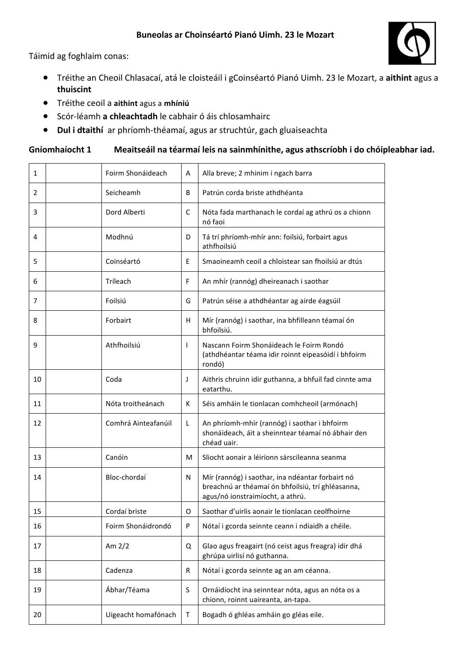Táimid ag foghlaim conas:

- Tréithe an Cheoil Chlasacaí, atá le cloisteáil i gCoinséartó Pianó Uimh. 23 le Mozart, a aithint agus a **thuiscint**
- **•** Tréithe ceoil a aithint agus a mhíniú
- **•** Scór-léamh a chleachtadh le cabhair ó áis chlosamhairc
- **Dul i dtaithí** ar phríomh-théamaí, agus ar struchtúr, gach gluaiseachta

## Gníomhaíocht 1 Meaitseáil na téarmaí leis na sainmhínithe, agus athscríobh i do chóipleabhar iad.

| $\mathbf{1}$   | Foirm Shonáideach   | A  | Alla breve; 2 mhinim i ngach barra                                                                                                        |
|----------------|---------------------|----|-------------------------------------------------------------------------------------------------------------------------------------------|
| $\overline{2}$ | Seicheamh           | B  | Patrún corda briste athdhéanta                                                                                                            |
| 3              | Dord Alberti        | C  | Nóta fada marthanach le cordaí ag athrú os a chionn<br>nó faoi                                                                            |
| 4              | Modhnú              | D  | Tá trí phríomh-mhír ann: foilsiú, forbairt agus<br>athfhoilsiú                                                                            |
| 5              | Coinséartó          | E  | Smaoineamh ceoil a chloistear san fhoilsiú ar dtús                                                                                        |
| 6              | Tríleach            | F  | An mhír (rannóg) dheireanach i saothar                                                                                                    |
| 7              | Foilsiú             | G  | Patrún séise a athdhéantar ag airde éagsúil                                                                                               |
| 8              | Forbairt            | H. | Mír (rannóg) i saothar, ina bhfilleann téamaí ón<br>bhfoilsiú.                                                                            |
| 9              | Athfhoilsiú         | T  | Nascann Foirm Shonáideach le Foirm Rondó<br>(athdhéantar téama idir roinnt eipeasóidí i bhfoirm<br>rondó)                                 |
| 10             | Coda                | J  | Aithris chruinn idir guthanna, a bhfuil fad cinnte ama<br>eatarthu.                                                                       |
| 11             | Nóta troitheánach   | К  | Séis amháin le tionlacan comhcheoil (armónach)                                                                                            |
| 12             | Comhrá Ainteafanúil | L  | An phríomh-mhír (rannóg) i saothar i bhfoirm<br>shonáideach, áit a sheinntear téamaí nó ábhair den<br>chéad uair.                         |
| 13             | Canóin              | м  | Sliocht aonair a léiríonn sárscileanna seanma                                                                                             |
| 14             | Bloc-chordaí        | N  | Mír (rannóg) i saothar, ina ndéantar forbairt nó<br>breachnú ar théamaí ón bhfoilsiú, trí ghléasanna,<br>agus/nó ionstraimíocht, a athrú. |
| 15             | Cordaí briste       | 0  | Saothar d'uirlis aonair le tionlacan ceolfhoirne                                                                                          |
| 16             | Foirm Shonáidrondó  | P  | Nótaí i gcorda seinnte ceann i ndiaidh a chéile.                                                                                          |
| 17             | Am $2/2$            | Q  | Glao agus freagairt (nó ceist agus freagra) idir dhá<br>ghrúpa uirlisí nó guthanna.                                                       |
| 18             | Cadenza             | R  | Nótaí i gcorda seinnte ag an am céanna.                                                                                                   |
| 19             | Ábhar/Téama         | S  | Ornáidíocht ina seinntear nóta, agus an nóta os a<br>chionn, roinnt uaireanta, an-tapa.                                                   |
| 20             | Uigeacht homafónach | T  | Bogadh ó ghléas amháin go gléas eile.                                                                                                     |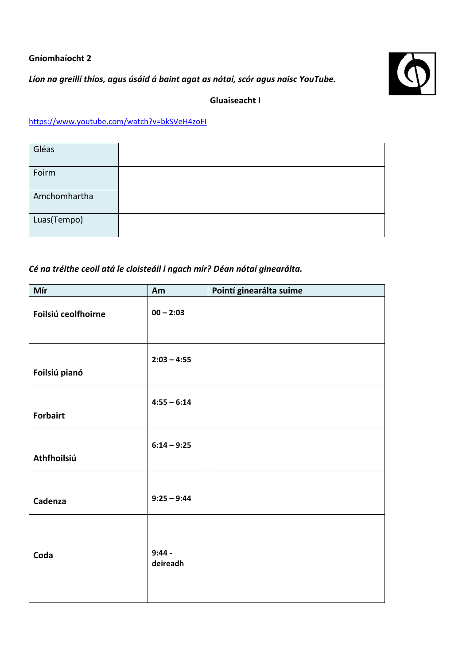#### **Gníomhaíocht 2**

Líon na greillí thíos, agus úsáid á baint agat as nótaí, scór agus naisc YouTube.



## **Gluaiseacht I**

# https://www.youtube.com/watch?v=bkSVeH4zoFI

| Gléas        |  |
|--------------|--|
| Foirm        |  |
| Amchomhartha |  |
| Luas(Tempo)  |  |

## Cé na tréithe ceoil atá le cloisteáil i ngach mír? Déan nótaí ginearálta.

| Mír                 | Am                   | Pointí ginearálta suime |
|---------------------|----------------------|-------------------------|
| Foilsiú ceolfhoirne | $00 - 2:03$          |                         |
| Foilsiú pianó       | $2:03 - 4:55$        |                         |
| <b>Forbairt</b>     | $4:55 - 6:14$        |                         |
| Athfhoilsiú         | $6:14 - 9:25$        |                         |
| Cadenza             | $9:25 - 9:44$        |                         |
| Coda                | $9:44 -$<br>deireadh |                         |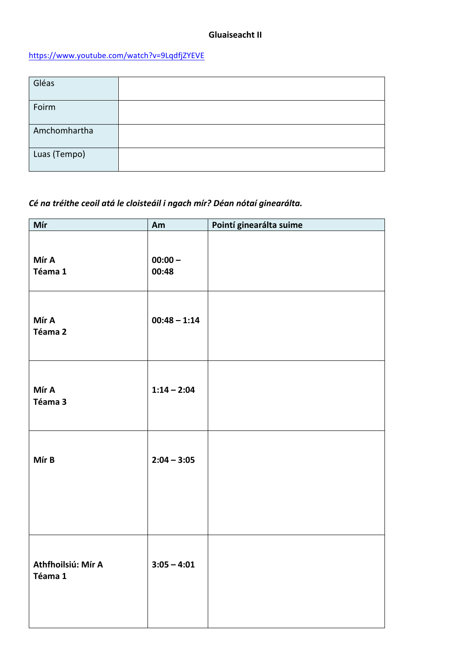### https://www.youtube.com/watch?v=9LqdfjZYEVE

| Gléas        |  |
|--------------|--|
| Foirm        |  |
| Amchomhartha |  |
| Luas (Tempo) |  |

## Cé na tréithe ceoil atá le cloisteáil i ngach mír? Déan nótaí ginearálta.

| Mír                           | Am                 | Pointí ginearálta suime |
|-------------------------------|--------------------|-------------------------|
| Mír A<br>Téama 1              | $00:00 -$<br>00:48 |                         |
| Mír A<br>Téama 2              | $00:48 - 1:14$     |                         |
| Mír A<br>Téama 3              | $1:14 - 2:04$      |                         |
| Mír B                         | $2:04 - 3:05$      |                         |
| Athfhoilsiú: Mír A<br>Téama 1 | $3:05 - 4:01$      |                         |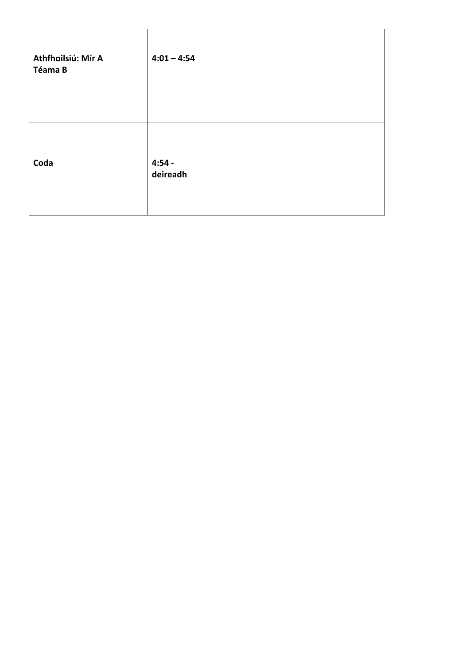| Athfhoilsiú: Mír A<br>Téama B | $4:01 - 4:54$        |  |
|-------------------------------|----------------------|--|
| Coda                          | $4:54 -$<br>deireadh |  |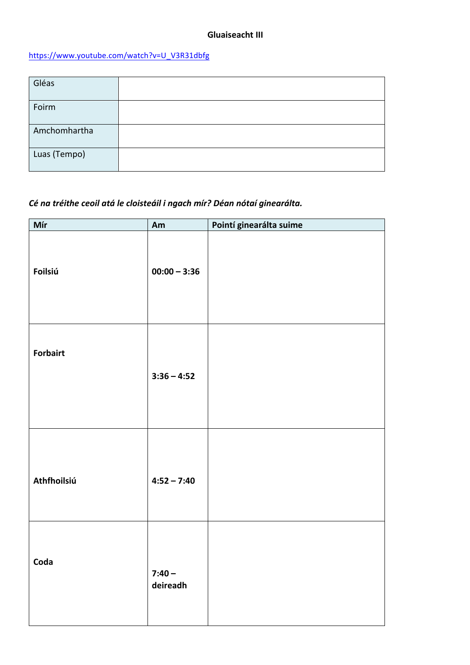### https://www.youtube.com/watch?v=U\_V3R31dbfg

| Gléas        |  |
|--------------|--|
| Foirm        |  |
| Amchomhartha |  |
| Luas (Tempo) |  |

## Cé na tréithe ceoil atá le cloisteáil i ngach mír? Déan nótaí ginearálta.

| Mír             | Am                   | Pointí ginearálta suime |
|-----------------|----------------------|-------------------------|
| <b>Foilsiú</b>  | $00:00 - 3:36$       |                         |
| <b>Forbairt</b> | $3:36 - 4:52$        |                         |
| Athfhoilsiú     | $4:52 - 7:40$        |                         |
| Coda            | $7:40 -$<br>deireadh |                         |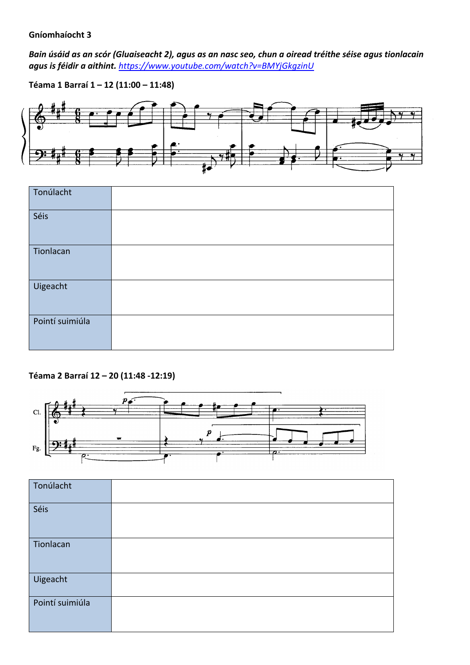#### **Gníomhaíocht 3**

*Bain úsáid as an scór (Gluaiseacht 2), agus as an nasc seo, chun a oiread tréithe séise agus tionlacain* agus is féidir a aithint. https://www.youtube.com/watch?v=BMYjGkgzinU

**Téama 1 Barraí 1 – 12 (11:00 – 11:48)**





### **Téama 2 Barraí 12 – 20 (11:48 -12:19)**



| Tonúlacht       |  |
|-----------------|--|
| Séis            |  |
| Tionlacan       |  |
| Uigeacht        |  |
| Pointí suimiúla |  |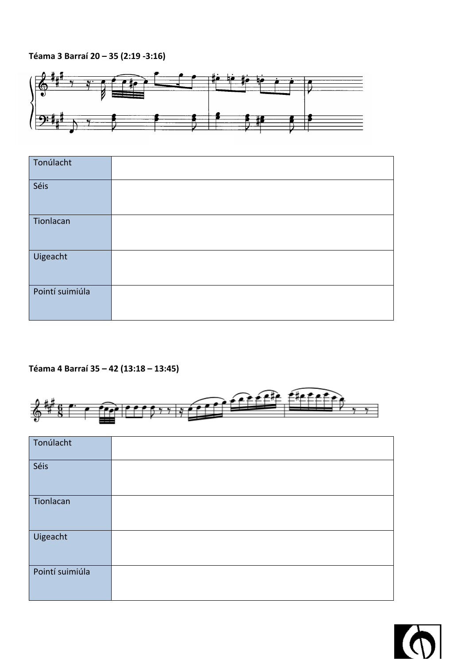## **Téama 3 Barraí 20 – 35 (2:19 -3:16)**



| Tonúlacht       |  |
|-----------------|--|
| Séis            |  |
| Tionlacan       |  |
| Uigeacht        |  |
| Pointí suimiúla |  |

## **Téama 4 Barraí 35 – 42 (13:18 – 13:45)**



| Tonúlacht       |  |
|-----------------|--|
| Séis            |  |
| Tionlacan       |  |
| Uigeacht        |  |
| Pointí suimiúla |  |

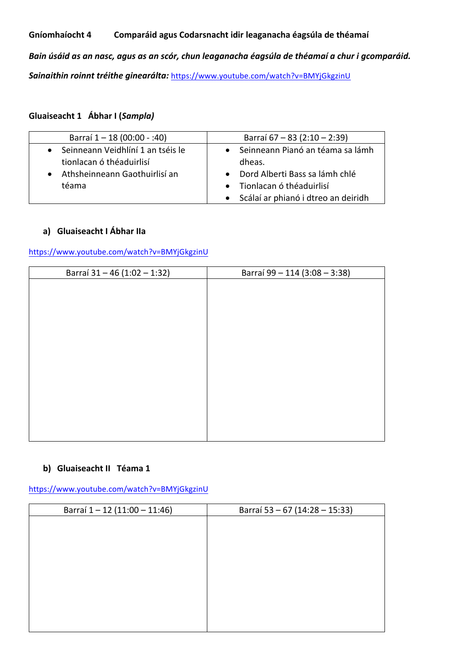#### **Gníomhaíocht 4 Comparáid agus Codarsnacht idir leaganacha éagsúla de théamaí**

Bain úsáid as an nasc, agus as an scór, chun leaganacha éagsúla de théamaí a chur i gcomparáid. Sainaithin roinnt tréithe ginearálta: https://www.youtube.com/watch?v=BMYjGkgzinU

#### **Gluaiseacht 1 Ábhar I (***Sampla)*

| Barraí 1 - 18 (00:00 - :40)       | Barraí 67 – 83 (2:10 – 2:39)          |
|-----------------------------------|---------------------------------------|
| Seinneann Veidhlíní 1 an tséis le | • Seinneann Pianó an téama sa lámh    |
| tionlacan ó théaduirlisí          | dheas.                                |
| Athsheinneann Gaothuirlisí an     | • Dord Alberti Bass sa lámh chlé      |
| téama                             | • Tionlacan ó théaduirlisí            |
|                                   | • Scálaí ar phianó i dtreo an deiridh |

#### **a) Gluaiseacht I Ábhar IIa**

https://www.youtube.com/watch?v=BMYjGkgzinU

#### **b)** Gluaiseacht II Téama 1

https://www.youtube.com/watch?v=BMYjGkgzinU

| Barraí 1-12 (11:00 - 11:46) | Barraí 53 - 67 (14:28 - 15:33) |
|-----------------------------|--------------------------------|
|                             |                                |
|                             |                                |
|                             |                                |
|                             |                                |
|                             |                                |
|                             |                                |
|                             |                                |
|                             |                                |
|                             |                                |